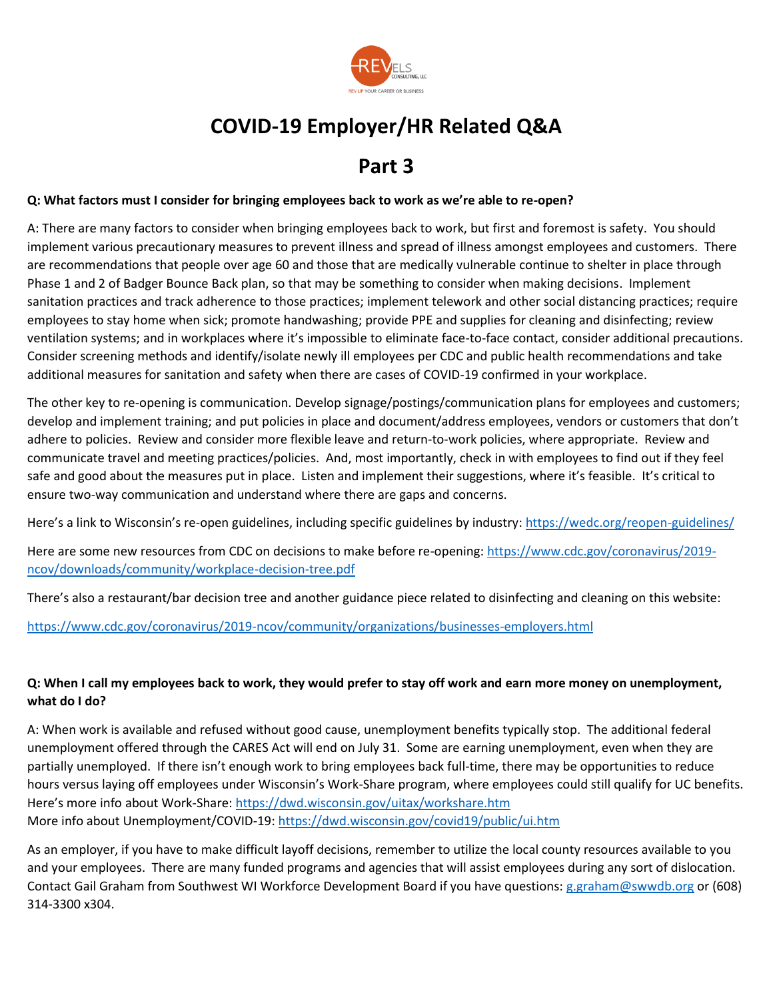

# **COVID-19 Employer/HR Related Q&A**

# **Part 3**

### **Q: What factors must I consider for bringing employees back to work as we're able to re-open?**

A: There are many factors to consider when bringing employees back to work, but first and foremost is safety. You should implement various precautionary measures to prevent illness and spread of illness amongst employees and customers. There are recommendations that people over age 60 and those that are medically vulnerable continue to shelter in place through Phase 1 and 2 of Badger Bounce Back plan, so that may be something to consider when making decisions. Implement sanitation practices and track adherence to those practices; implement telework and other social distancing practices; require employees to stay home when sick; promote handwashing; provide PPE and supplies for cleaning and disinfecting; review ventilation systems; and in workplaces where it's impossible to eliminate face-to-face contact, consider additional precautions. Consider screening methods and identify/isolate newly ill employees per CDC and public health recommendations and take additional measures for sanitation and safety when there are cases of COVID-19 confirmed in your workplace.

The other key to re-opening is communication. Develop signage/postings/communication plans for employees and customers; develop and implement training; and put policies in place and document/address employees, vendors or customers that don't adhere to policies. Review and consider more flexible leave and return-to-work policies, where appropriate. Review and communicate travel and meeting practices/policies. And, most importantly, check in with employees to find out if they feel safe and good about the measures put in place. Listen and implement their suggestions, where it's feasible. It's critical to ensure two-way communication and understand where there are gaps and concerns.

Here's a link to Wisconsin's re-open guidelines, including specific guidelines by industry:<https://wedc.org/reopen-guidelines/>

Here are some new resources from CDC on decisions to make before re-opening[: https://www.cdc.gov/coronavirus/2019](https://www.cdc.gov/coronavirus/2019-ncov/downloads/community/workplace-decision-tree.pdf) [ncov/downloads/community/workplace-decision-tree.pdf](https://www.cdc.gov/coronavirus/2019-ncov/downloads/community/workplace-decision-tree.pdf)

There's also a restaurant/bar decision tree and another guidance piece related to disinfecting and cleaning on this website:

<https://www.cdc.gov/coronavirus/2019-ncov/community/organizations/businesses-employers.html>

# **Q: When I call my employees back to work, they would prefer to stay off work and earn more money on unemployment, what do I do?**

A: When work is available and refused without good cause, unemployment benefits typically stop. The additional federal unemployment offered through the CARES Act will end on July 31. Some are earning unemployment, even when they are partially unemployed. If there isn't enough work to bring employees back full-time, there may be opportunities to reduce hours versus laying off employees under Wisconsin's Work-Share program, where employees could still qualify for UC benefits. Here's more info about Work-Share[: https://dwd.wisconsin.gov/uitax/workshare.htm](https://dwd.wisconsin.gov/uitax/workshare.htm)  More info about Unemployment/COVID-19[: https://dwd.wisconsin.gov/covid19/public/ui.htm](https://dwd.wisconsin.gov/covid19/public/ui.htm)

As an employer, if you have to make difficult layoff decisions, remember to utilize the local county resources available to you and your employees. There are many funded programs and agencies that will assist employees during any sort of dislocation. Contact Gail Graham from Southwest WI Workforce Development Board if you have questions[: g.graham@swwdb.org](mailto:g.graham@swwdb.org) or (608) 314-3300 x304.